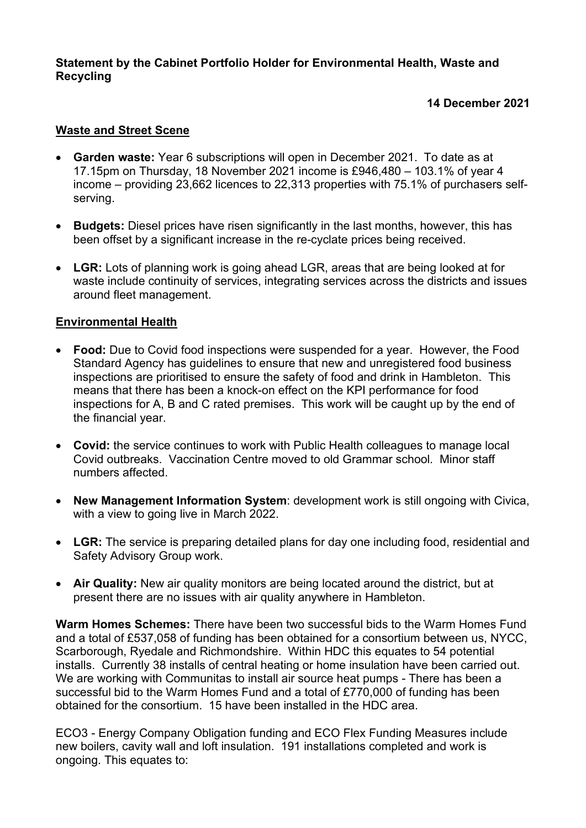**Statement by the Cabinet Portfolio Holder for Environmental Health, Waste and Recycling**

# **14 December 2021**

#### **Waste and Street Scene**

- **Garden waste:** Year 6 subscriptions will open in December 2021. To date as at 17.15pm on Thursday, 18 November 2021 income is £946,480 – 103.1% of year 4 income – providing 23,662 licences to 22,313 properties with 75.1% of purchasers selfserving.
- **Budgets:** Diesel prices have risen significantly in the last months, however, this has been offset by a significant increase in the re-cyclate prices being received.
- **LGR:** Lots of planning work is going ahead LGR, areas that are being looked at for waste include continuity of services, integrating services across the districts and issues around fleet management.

### **Environmental Health**

- **Food:** Due to Covid food inspections were suspended for a year. However, the Food Standard Agency has guidelines to ensure that new and unregistered food business inspections are prioritised to ensure the safety of food and drink in Hambleton. This means that there has been a knock-on effect on the KPI performance for food inspections for A, B and C rated premises. This work will be caught up by the end of the financial year.
- **Covid:** the service continues to work with Public Health colleagues to manage local Covid outbreaks. Vaccination Centre moved to old Grammar school. Minor staff numbers affected.
- **New Management Information System**: development work is still ongoing with Civica, with a view to going live in March 2022.
- **LGR:** The service is preparing detailed plans for day one including food, residential and Safety Advisory Group work.
- **Air Quality:** New air quality monitors are being located around the district, but at present there are no issues with air quality anywhere in Hambleton.

**Warm Homes Schemes:** There have been two successful bids to the Warm Homes Fund and a total of £537,058 of funding has been obtained for a consortium between us, NYCC, Scarborough, Ryedale and Richmondshire. Within HDC this equates to 54 potential installs. Currently 38 installs of central heating or home insulation have been carried out. We are working with Communitas to install air source heat pumps - There has been a successful bid to the Warm Homes Fund and a total of £770,000 of funding has been obtained for the consortium. 15 have been installed in the HDC area.

ECO3 - Energy Company Obligation funding and ECO Flex Funding Measures include new boilers, cavity wall and loft insulation. 191 installations completed and work is ongoing. This equates to: